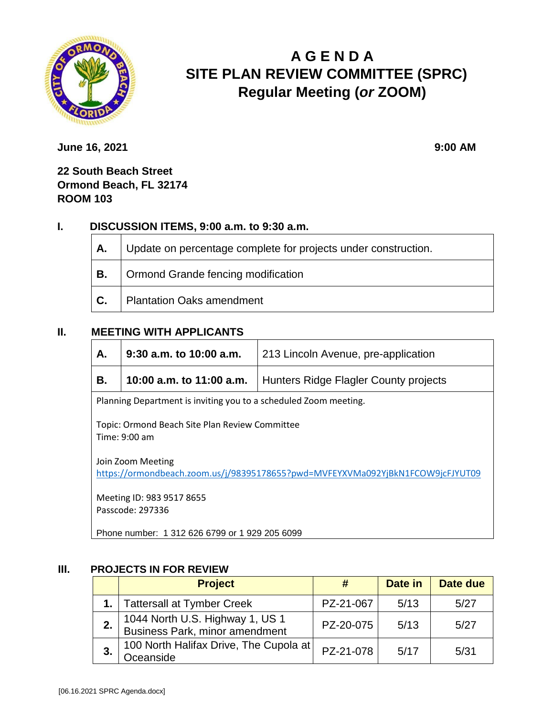

# **A G E N D A SITE PLAN REVIEW COMMITTEE (SPRC) Regular Meeting (***or* **ZOOM)**

**June 16, 2021** 9:00 **AM** 

**22 South Beach Street Ormond Beach, FL 32174 ROOM 103**

# **I. DISCUSSION ITEMS, 9:00 a.m. to 9:30 a.m.**

| А. | Update on percentage complete for projects under construction. |  |
|----|----------------------------------------------------------------|--|
| В. | Ormond Grande fencing modification                             |  |
| С. | <b>Plantation Oaks amendment</b>                               |  |

# **II. MEETING WITH APPLICANTS**

| А.                                                                                                  | $9:30$ a.m. to 10:00 a.m.<br>213 Lincoln Avenue, pre-application |                                       |  |
|-----------------------------------------------------------------------------------------------------|------------------------------------------------------------------|---------------------------------------|--|
| В.                                                                                                  | 10:00 a.m. to 11:00 a.m.                                         | Hunters Ridge Flagler County projects |  |
| Planning Department is inviting you to a scheduled Zoom meeting.                                    |                                                                  |                                       |  |
| Topic: Ormond Beach Site Plan Review Committee<br>Time: $9:00$ am                                   |                                                                  |                                       |  |
| Join Zoom Meeting<br>https://ormondbeach.zoom.us/j/98395178655?pwd=MVFEYXVMa092YjBkN1FCOW9jcFJYUT09 |                                                                  |                                       |  |
| Meeting ID: 983 9517 8655<br>Passcode: 297336                                                       |                                                                  |                                       |  |

Phone number: 1 312 626 6799 or 1 929 205 6099

#### **III. PROJECTS IN FOR REVIEW**

|    | <b>Project</b>                                                    | #         | Date in | Date due |
|----|-------------------------------------------------------------------|-----------|---------|----------|
|    | 1.   Tattersall at Tymber Creek                                   | PZ-21-067 | 5/13    | 5/27     |
|    | 1044 North U.S. Highway 1, US 1<br>Business Park, minor amendment | PZ-20-075 | 5/13    | 5/27     |
| 3. | 100 North Halifax Drive, The Cupola at<br>Oceanside               | PZ-21-078 | 5/17    | 5/31     |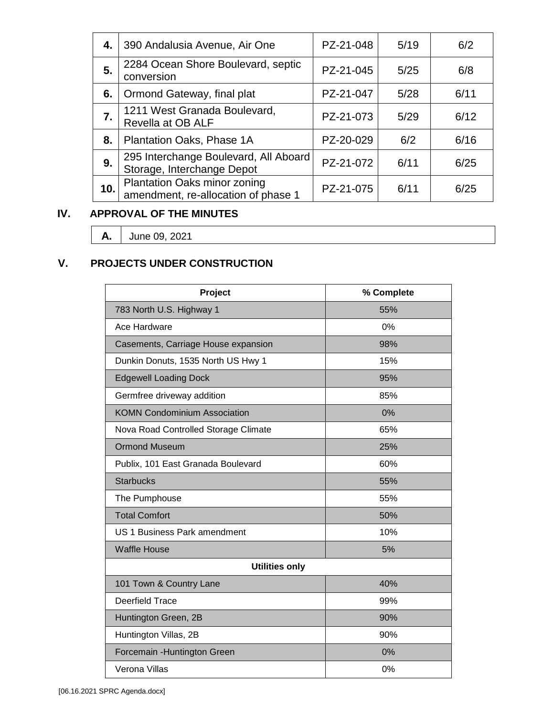| 4. I | 390 Andalusia Avenue, Air One                                       | PZ-21-048 | 5/19 | 6/2  |
|------|---------------------------------------------------------------------|-----------|------|------|
| 5.   | 2284 Ocean Shore Boulevard, septic<br>conversion                    | PZ-21-045 | 5/25 | 6/8  |
| 6.   | Ormond Gateway, final plat                                          | PZ-21-047 | 5/28 | 6/11 |
| 7.   | 1211 West Granada Boulevard,<br>Revella at OB ALF                   | PZ-21-073 | 5/29 | 6/12 |
| 8.   | Plantation Oaks, Phase 1A                                           | PZ-20-029 | 6/2  | 6/16 |
| 9.   | 295 Interchange Boulevard, All Aboard<br>Storage, Interchange Depot | PZ-21-072 | 6/11 | 6/25 |
| 10.  | Plantation Oaks minor zoning<br>amendment, re-allocation of phase 1 | PZ-21-075 | 6/11 | 6/25 |

# **IV. APPROVAL OF THE MINUTES**

**A.** June 09, 2021

# **V. PROJECTS UNDER CONSTRUCTION**

| Project                              | % Complete |  |  |
|--------------------------------------|------------|--|--|
| 783 North U.S. Highway 1             | 55%        |  |  |
| Ace Hardware                         | 0%         |  |  |
| Casements, Carriage House expansion  | 98%        |  |  |
| Dunkin Donuts, 1535 North US Hwy 1   | 15%        |  |  |
| <b>Edgewell Loading Dock</b>         | 95%        |  |  |
| Germfree driveway addition           | 85%        |  |  |
| <b>KOMN Condominium Association</b>  | 0%         |  |  |
| Nova Road Controlled Storage Climate | 65%        |  |  |
| <b>Ormond Museum</b>                 | 25%        |  |  |
| Publix, 101 East Granada Boulevard   | 60%        |  |  |
| <b>Starbucks</b>                     | 55%        |  |  |
| The Pumphouse                        | 55%        |  |  |
| <b>Total Comfort</b>                 | 50%        |  |  |
| <b>US 1 Business Park amendment</b>  | 10%        |  |  |
| <b>Waffle House</b>                  | 5%         |  |  |
| <b>Utilities only</b>                |            |  |  |
| 101 Town & Country Lane              | 40%        |  |  |
| <b>Deerfield Trace</b>               | 99%        |  |  |
| Huntington Green, 2B                 | 90%        |  |  |
| Huntington Villas, 2B                | 90%        |  |  |
| Forcemain - Huntington Green         | 0%         |  |  |
| Verona Villas                        | 0%         |  |  |